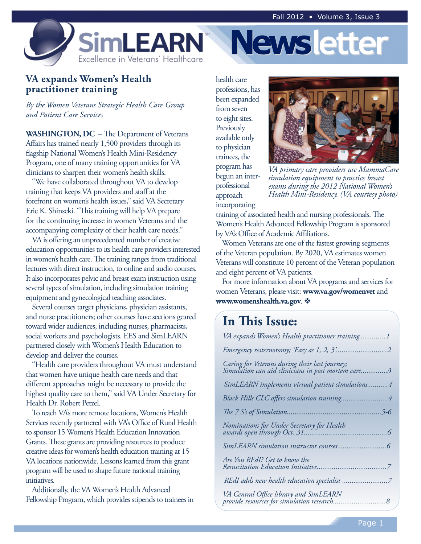**Newsletter**



## **VA expands Women's Health practitioner training**

*By the Women Veterans Strategic Health Care Group and Patient Care Services*

**WASHINGTON, DC** – The Department of Veterans Affairs has trained nearly 1,500 providers through its flagship National Women's Health Mini-Residency Program, one of many training opportunities for VA clinicians to sharpen their women's health skills.

"We have collaborated throughout VA to develop training that keeps VA providers and staff at the forefront on women's health issues," said VA Secretary Eric K. Shinseki. "This training will help VA prepare for the continuing increase in women Veterans and the accompanying complexity of their health care needs."

VA is offering an unprecedented number of creative education opportunities to its health care providers interested in women's health care. The training ranges from traditional lectures with direct instruction, to online and audio courses. It also incorporates pelvic and breast exam instruction using several types of simulation, including simulation training equipment and gynecological teaching associates.

Several courses target physicians, physician assistants, and nurse practitioners; other courses have sections geared toward wider audiences, including nurses, pharmacists, social workers and psychologists. EES and SimLEARN partnered closely with Women's Health Education to develop and deliver the courses.

"Health care providers throughout VA must understand that women have unique health care needs and that different approaches might be necessary to provide the highest quality care to them," said VA Under Secretary for Health Dr. Robert Petzel.

To reach VA's more remote locations, Women's Health Services recently partnered with VA's Office of Rural Health to sponsor 15 Women's Health Education Innovation Grants. These grants are providing resources to produce creative ideas for women's health education training at 15 VA locations nationwide. Lessons learned from this grant program will be used to shape future national training initiatives.

Additionally, the VA Women's Health Advanced Fellowship Program, which provides stipends to trainees in health care professions, has been expanded from seven to eight sites. **Previously** available only to physician trainees, the program has begun an interprofessional approach incorporating



*VA primary care providers use MammaCare simulation equipment to practice breast exams during the 2012 National Women's Health Mini-Residency. (VA courtesy photo)*

training of associated health and nursing professionals. The Women's Health Advanced Fellowship Program is sponsored by VA's Office of Academic Affiliations.

Women Veterans are one of the fastest growing segments of the Veteran population. By 2020, VA estimates women Veterans will constitute 10 percent of the Veteran population and eight percent of VA patients.

For more information about VA programs and services for women Veterans, please visit: **www.va.gov/womenvet** and **www.womenshealth.va.gov.**  $\mathbf{\hat{v}}$ 

## **In This Issue:**

| VA expands Women's Health practitioner training1                                                     |
|------------------------------------------------------------------------------------------------------|
|                                                                                                      |
| Caring for Veterans during their last journey;<br>Simulation can aid clinicians in post mortem care3 |
| SimLEARN implements virtual patient simulations4                                                     |
|                                                                                                      |
|                                                                                                      |
|                                                                                                      |
|                                                                                                      |
| Are You REdI? Get to know the                                                                        |
|                                                                                                      |
| VA Central Office library and SimLEARN                                                               |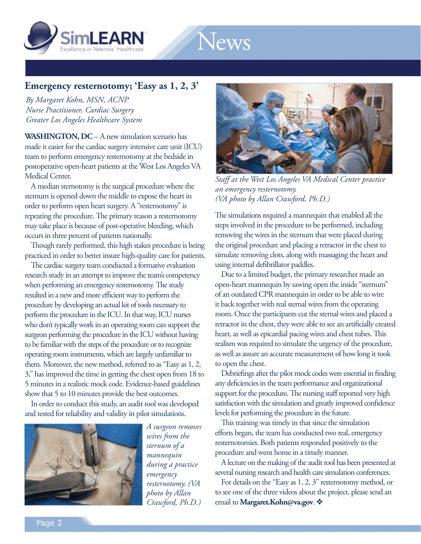



## **Emergency resternotomy; 'Easy as 1, 2, 3'**

*By Margaret Kohn, MSN, ACNP Nurse Practitioner, Cardiac Surgery Greater Los Angeles Healthcare System*

**WASHINGTON, DC** – A new simulation scenario has made it easier for the cardiac surgery intensive care unit (ICU) team to perform emergency resternotomy at the bedside in postoperative open-heart patients at the West Los Angeles VA Medical Center.

A median sternotomy is the surgical procedure where the sternum is opened down the middle to expose the heart in order to perform open heart surgery. A "resternotomy" is repeating the procedure. The primary reason a resternotomy may take place is because of post-operative bleeding, which occurs in three percent of patients nationally.

Though rarely performed, this high stakes procedure is being practiced in order to better insure high-quality care for patients.

The cardiac surgery team conducted a formative evaluation research study in an attempt to improve the team's competency when performing an emergency resternotomy. The study resulted in a new and more efficient way to perform the procedure by developing an actual kit of tools necessary to perform the procedure in the ICU. In that way, ICU nurses who don't typically work in an operating room can support the surgeon performing the procedure in the ICU without having to be familiar with the steps of the procedure or to recognize operating room instruments, which are largely unfamiliar to them. Moreover, the new method, referred to as "Easy as 1, 2, 3," has improved the time in getting the chest open from 18 to 5 minutes in a realistic mock code. Evidence-based guidelines show that 5 to 10 minutes provide the best outcomes.

In order to conduct this study, an audit tool was developed and tested for reliability and validity in pilot simulations.



*A surgeon removes wires from the sternum of a mannequin during a practice emergency resternotomy. (VA photo by Allan Crawford, Ph.D.)*



*Staff at the West Los Angeles VA Medical Center practice an emergency resternotomy. (VA photo by Allan Crawford, Ph.D.)*

The simulations required a mannequin that enabled all the steps involved in the procedure to be performed, including removing the wires in the sternum that were placed during the original procedure and placing a retractor in the chest to simulate removing clots, along with massaging the heart and using internal defibrillator paddles.

Due to a limited budget, the primary researcher made an open-heart mannequin by sawing open the inside "sternum" of an outdated CPR mannequin in order to be able to wire it back together with real sternal wires from the operating room. Once the participants cut the sternal wires and placed a retractor in the chest, they were able to see an artificially created heart, as well as epicardial pacing wires and chest tubes. This realism was required to simulate the urgency of the procedure, as well as assure an accurate measurement of how long it took to open the chest.

Debriefings after the pilot mock codes were essential in finding any deficiencies in the team performance and organizational support for the procedure. The nursing staff reported very high satisfaction with the simulation and greatly improved confidence levels for performing the procedure in the future.

This training was timely in that since the simulation efforts began, the team has conducted two real, emergency resternotomies. Both patients responded positively to the procedure and went home in a timely manner.

A lecture on the making of the audit tool has been presented at several nursing research and health care simulation conferences.

For details on the "Easy as 1, 2, 3" resternotomy method, or to see one of the three videos about the project, please send an email to Margaret.Kohn@va.gov.  $\diamondsuit$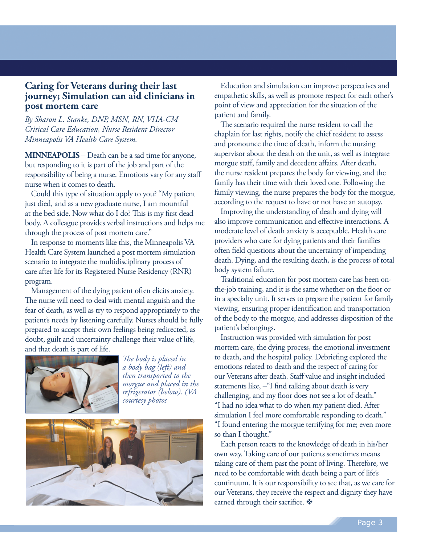## **Caring for Veterans during their last journey; Simulation can aid clinicians in post mortem care**

*By Sharon L. Stanke, DNP, MSN, RN, VHA-CM Critical Care Education, Nurse Resident Director Minneapolis VA Health Care System.*

**MINNEAPOLIS** – Death can be a sad time for anyone, but responding to it is part of the job and part of the responsibility of being a nurse. Emotions vary for any staff nurse when it comes to death.

Could this type of situation apply to you? "My patient just died, and as a new graduate nurse, I am mournful at the bed side. Now what do I do? This is my first dead body. A colleague provides verbal instructions and helps me through the process of post mortem care."

In response to moments like this, the Minneapolis VA Health Care System launched a post mortem simulation scenario to integrate the multidisciplinary process of care after life for its Registered Nurse Residency (RNR) program.

Management of the dying patient often elicits anxiety. The nurse will need to deal with mental anguish and the fear of death, as well as try to respond appropriately to the patient's needs by listening carefully. Nurses should be fully prepared to accept their own feelings being redirected, as doubt, guilt and uncertainty challenge their value of life, and that death is part of life.



*The body is placed in a body bag (left) and then transported to the morgue and placed in the refrigerator (below). (VA courtesy photos*



Education and simulation can improve perspectives and empathetic skills, as well as promote respect for each other's point of view and appreciation for the situation of the patient and family.

The scenario required the nurse resident to call the chaplain for last rights, notify the chief resident to assess and pronounce the time of death, inform the nursing supervisor about the death on the unit, as well as integrate morgue staff, family and decedent affairs. After death, the nurse resident prepares the body for viewing, and the family has their time with their loved one. Following the family viewing, the nurse prepares the body for the morgue, according to the request to have or not have an autopsy.

Improving the understanding of death and dying will also improve communication and effective interactions. A moderate level of death anxiety is acceptable. Health care providers who care for dying patients and their families often field questions about the uncertainty of impending death. Dying, and the resulting death, is the process of total body system failure.

Traditional education for post mortem care has been onthe-job training, and it is the same whether on the floor or in a specialty unit. It serves to prepare the patient for family viewing, ensuring proper identification and transportation of the body to the morgue, and addresses disposition of the patient's belongings.

Instruction was provided with simulation for post mortem care, the dying process, the emotional investment to death, and the hospital policy. Debriefing explored the emotions related to death and the respect of caring for our Veterans after death. Staff value and insight included statements like, –"I find talking about death is very challenging, and my floor does not see a lot of death." "I had no idea what to do when my patient died. After simulation I feel more comfortable responding to death." "I found entering the morgue terrifying for me; even more so than I thought."

Each person reacts to the knowledge of death in his/her own way. Taking care of our patients sometimes means taking care of them past the point of living. Therefore, we need to be comfortable with death being a part of life's continuum. It is our responsibility to see that, as we care for our Veterans, they receive the respect and dignity they have earned through their sacrifice.  $\clubsuit$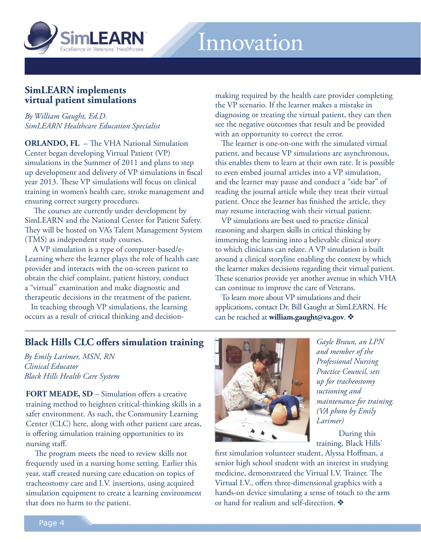

## **SimLEARN implements virtual patient simulations**

*By William Gaught, Ed.D. SimLEARN Healthcare Education Specialist*

**ORLANDO, FL** – The VHA National Simulation Center began developing Virtual Patient (VP) simulations in the Summer of 2011 and plans to step up development and delivery of VP simulations in fiscal year 2013. These VP simulations will focus on clinical training in women's health care, stroke management and ensuring correct surgery procedures.

 The courses are currently under development by SimLEARN and the National Center for Patient Safety. They will be hosted on VA's Talent Management System (TMS) as independent study courses.

 A VP simulation is a type of computer-based/e-Learning where the learner plays the role of health care provider and interacts with the on-screen patient to obtain the chief complaint, patient history, conduct a "virtual" examination and make diagnostic and therapeutic decisions in the treatment of the patient.

In teaching through VP simulations, the learning occurs as a result of critical thinking and decisionmaking required by the health care provider completing the VP scenario. If the learner makes a mistake in diagnosing or treating the virtual patient, they can then see the negative outcomes that result and be provided with an opportunity to correct the error.

The learner is one-on-one with the simulated virtual patient, and because VP simulations are asynchronous, this enables them to learn at their own rate. It is possible to even embed journal articles into a VP simulation, and the learner may pause and conduct a "side bar" of reading the journal article while they treat their virtual patient. Once the learner has finished the article, they may resume interacting with their virtual patient.

VP simulations are best used to practice clinical reasoning and sharpen skills in critical thinking by immersing the learning into a believable clinical story to which clinicians can relate. A VP simulation is built around a clinical storyline enabling the context by which the learner makes decisions regarding their virtual patient. These scenarios provide yet another avenue in which VHA can continue to improve the care of Veterans.

To learn more about VP simulations and their applications, contact Dr. Bill Gaught at SimLEARN. He can be reached at **william.gaught@va.gov.** 

## **Black Hills CLC offers simulation training**

*By Emily Larimer, MSN, RN Clinical Educator Black Hills Health Care System* 

**FORT MEADE, SD** – Simulation offers a creative training method to heighten critical-thinking skills in a safer environment. As such, the Community Learning Center (CLC) here, along with other patient care areas, is offering simulation training opportunities to its nursing staff.

 The program meets the need to review skills not frequently used in a nursing home setting. Earlier this year, staff created nursing care education on topics of tracheostomy care and I.V. insertions, using acquired simulation equipment to create a learning environment that does no harm to the patient.



*Gayle Braun, an LPN and member of the Professional Nursing Practice Council, sets up for tracheostomy suctioning and maintenance for training. (VA photo by Emily Larimer)*

During this training, Black Hills'

first simulation volunteer student, Alyssa Hoffman, a senior high school student with an interest in studying medicine, demonstrated the Virtual I.V. Trainer. The Virtual I.V., offers three-dimensional graphics with a hands-on device simulating a sense of touch to the arm or hand for realism and self-direction.  $\clubsuit$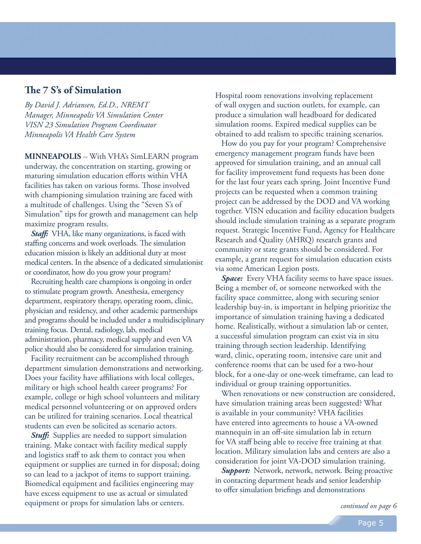#### **The 7 S's of Simulation**

*By David J. Adriansen, Ed.D., NREMT Manager, Minneapolis VA Simulation Center VISN 23 Simulation Program Coordinator Minneapolis VA Health Care System*

**MINNEAPOLIS** – With VHA's SimLEARN program underway, the concentration on starting, growing or maturing simulation education efforts within VHA facilities has taken on various forms. Those involved with championing simulation training are faced with a multitude of challenges. Using the "Seven S's of Simulation" tips for growth and management can help maximize program results.

*Staff:* VHA, like many organizations, is faced with staffing concerns and work overloads. The simulation education mission is likely an additional duty at most medical centers. In the absence of a dedicated simulationist or coordinator, how do you grow your program?

Recruiting health care champions is ongoing in order to stimulate program growth. Anesthesia, emergency department, respiratory therapy, operating room, clinic, physician and residency, and other academic partnerships and programs should be included under a multidisciplinary training focus. Dental, radiology, lab, medical administration, pharmacy, medical supply and even VA police should also be considered for simulation training.

Facility recruitment can be accomplished through department simulation demonstrations and networking. Does your facility have affiliations with local colleges, military or high school health career programs? For example, college or high school volunteers and military medical personnel volunteering or on approved orders can be utilized for training scenarios. Local theatrical students can even be solicited as scenario actors.

*Stuff:* Supplies are needed to support simulation training. Make contact with facility medical supply and logistics staff to ask them to contact you when equipment or supplies are turned in for disposal; doing so can lead to a jackpot of items to support training. Biomedical equipment and facilities engineering may have excess equipment to use as actual or simulated equipment or props for simulation labs or centers.

Hospital room renovations involving replacement of wall oxygen and suction outlets, for example, can produce a simulation wall headboard for dedicated simulation rooms. Expired medical supplies can be obtained to add realism to specific training scenarios.

How do you pay for your program? Comprehensive emergency management program funds have been approved for simulation training, and an annual call for facility improvement fund requests has been done for the last four years each spring. Joint Incentive Fund projects can be requested when a common training project can be addressed by the DOD and VA working together. VISN education and facility education budgets should include simulation training as a separate program request. Strategic Incentive Fund, Agency for Healthcare Research and Quality (AHRQ) research grants and community or state grants should be considered. For example, a grant request for simulation education exists via some American Legion posts.

*Space:* Every VHA facility seems to have space issues. Being a member of, or someone networked with the facility space committee, along with securing senior leadership buy-in, is important in helping prioritize the importance of simulation training having a dedicated home. Realistically, without a simulation lab or center, a successful simulation program can exist via in situ training through section leadership. Identifying ward, clinic, operating room, intensive care unit and conference rooms that can be used for a two-hour block, for a one-day or one-week timeframe, can lead to individual or group training opportunities.

When renovations or new construction are considered, have simulation training areas been suggested? What is available in your community? VHA facilities have entered into agreements to house a VA-owned mannequin in an off-site simulation lab in return for VA staff being able to receive free training at that location. Military simulation labs and centers are also a consideration for joint VA-DOD simulation training.

**Support:** Network, network, network. Being proactive in contacting department heads and senior leadership to offer simulation briefings and demonstrations

*continued on page 6*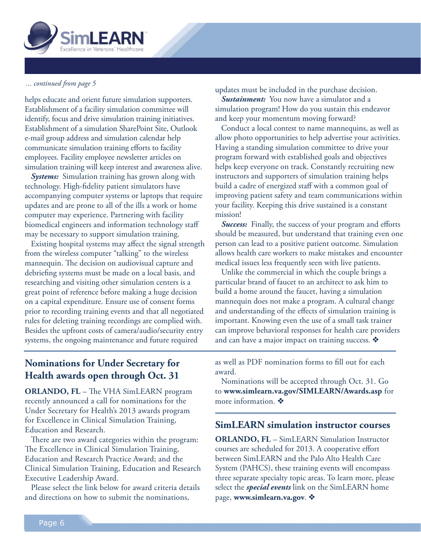

#### *... continued from page 5*

helps educate and orient future simulation supporters. Establishment of a facility simulation committee will identify, focus and drive simulation training initiatives. Establishment of a simulation SharePoint Site, Outlook e-mail group address and simulation calendar help communicate simulation training efforts to facility employees. Facility employee newsletter articles on simulation training will keep interest and awareness alive.

*Systems:* Simulation training has grown along with technology. High-fidelity patient simulators have accompanying computer systems or laptops that require updates and are prone to all of the ills a work or home computer may experience. Partnering with facility biomedical engineers and information technology staff may be necessary to support simulation training.

Existing hospital systems may affect the signal strength from the wireless computer "talking" to the wireless mannequin. The decision on audiovisual capture and debriefing systems must be made on a local basis, and researching and visiting other simulation centers is a great point of reference before making a huge decision on a capital expenditure. Ensure use of consent forms prior to recording training events and that all negotiated rules for deleting training recordings are complied with. Besides the upfront costs of camera/audio/security entry systems, the ongoing maintenance and future required

updates must be included in the purchase decision.

*Sustainment:* You now have a simulator and a simulation program! How do you sustain this endeavor and keep your momentum moving forward?

Conduct a local contest to name mannequins, as well as allow photo opportunities to help advertise your activities. Having a standing simulation committee to drive your program forward with established goals and objectives helps keep everyone on track. Constantly recruiting new instructors and supporters of simulation training helps build a cadre of energized staff with a common goal of improving patient safety and team communications within your facility. Keeping this drive sustained is a constant mission!

*Success:* Finally, the success of your program and efforts should be measured, but understand that training even one person can lead to a positive patient outcome. Simulation allows health care workers to make mistakes and encounter medical issues less frequently seen with live patients.

Unlike the commercial in which the couple brings a particular brand of faucet to an architect to ask him to build a home around the faucet, having a simulation mannequin does not make a program. A cultural change and understanding of the effects of simulation training is important. Knowing even the use of a small task trainer can improve behavioral responses for health care providers and can have a major impact on training success.  $\mathbf{\hat{*}}$ 

## **Nominations for Under Secretary for Health awards open through Oct. 31**

**ORLANDO, FL** – The VHA SimLEARN program recently announced a call for nominations for the Under Secretary for Health's 2013 awards program for Excellence in Clinical Simulation Training, Education and Research.

There are two award categories within the program: The Excellence in Clinical Simulation Training, Education and Research Practice Award; and the Clinical Simulation Training, Education and Research Executive Leadership Award.

Please select the link below for award criteria details and directions on how to submit the nominations,

as well as PDF nomination forms to fill out for each award.

Nominations will be accepted through Oct. 31. Go to **www.simlearn.va.gov/SIMLEARN/Awards.asp** for more information.  $\clubsuit$ 

## **SimLEARN simulation instructor courses**

**ORLANDO, FL** – SimLEARN Simulation Instructor courses are scheduled for 2013. A cooperative effort between SimLEARN and the Palo Alto Health Care System (PAHCS), these training events will encompass three separate specialty topic areas. To learn more, please select the *special events* link on the SimLEARN home page, www.simlearn.va.gov.  $\mathbf{\hat{*}}$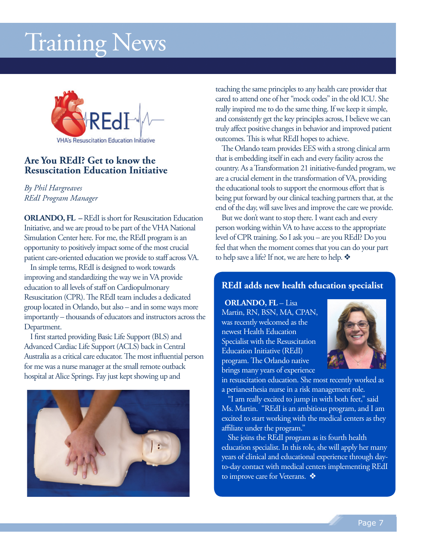# Training News



## **Are You REdI? Get to know the Resuscitation Education Initiative**

#### *By Phil Hargreaves REdI Program Manager*

**ORLANDO, FL –**REdI is short for Resuscitation Education Initiative, and we are proud to be part of the VHA National Simulation Center here. For me, the REdI program is an opportunity to positively impact some of the most crucial patient care-oriented education we provide to staff across VA.

In simple terms, REdI is designed to work towards improving and standardizing the way we in VA provide education to all levels of staff on Cardiopulmonary Resuscitation (CPR). The REdI team includes a dedicated group located in Orlando, but also – and in some ways more importantly – thousands of educators and instructors across the Department.

I first started providing Basic Life Support (BLS) and Advanced Cardiac Life Support (ACLS) back in Central Australia as a critical care educator. The most influential person for me was a nurse manager at the small remote outback hospital at Alice Springs. Fay just kept showing up and



teaching the same principles to any health care provider that cared to attend one of her "mock codes" in the old ICU. She really inspired me to do the same thing. If we keep it simple, and consistently get the key principles across, I believe we can truly affect positive changes in behavior and improved patient outcomes. This is what REdI hopes to achieve.

The Orlando team provides EES with a strong clinical arm that is embedding itself in each and every facility across the country. As a Transformation 21 initiative-funded program, we are a crucial element in the transformation of VA, providing the educational tools to support the enormous effort that is being put forward by our clinical teaching partners that, at the end of the day, will save lives and improve the care we provide.

But we don't want to stop there. I want each and every person working within VA to have access to the appropriate level of CPR training. So I ask you – are you REdI? Do you feel that when the moment comes that you can do your part to help save a life? If not, we are here to help.  $\clubsuit$ 

## **REdI adds new health education specialist**

**ORLANDO, FL** – Lisa Martin, RN, BSN, MA, CPAN, was recently welcomed as the newest Health Education Specialist with the Resuscitation Education Initiative (REdI) program. The Orlando native brings many years of experience



in resuscitation education. She most recently worked as a perianesthesia nurse in a risk management role.

"I am really excited to jump in with both feet," said Ms. Martin. "REdI is an ambitious program, and I am excited to start working with the medical centers as they affiliate under the program."

She joins the REdI program as its fourth health education specialist. In this role, she will apply her many years of clinical and educational experience through dayto-day contact with medical centers implementing REdI to improve care for Veterans.  $\clubsuit$